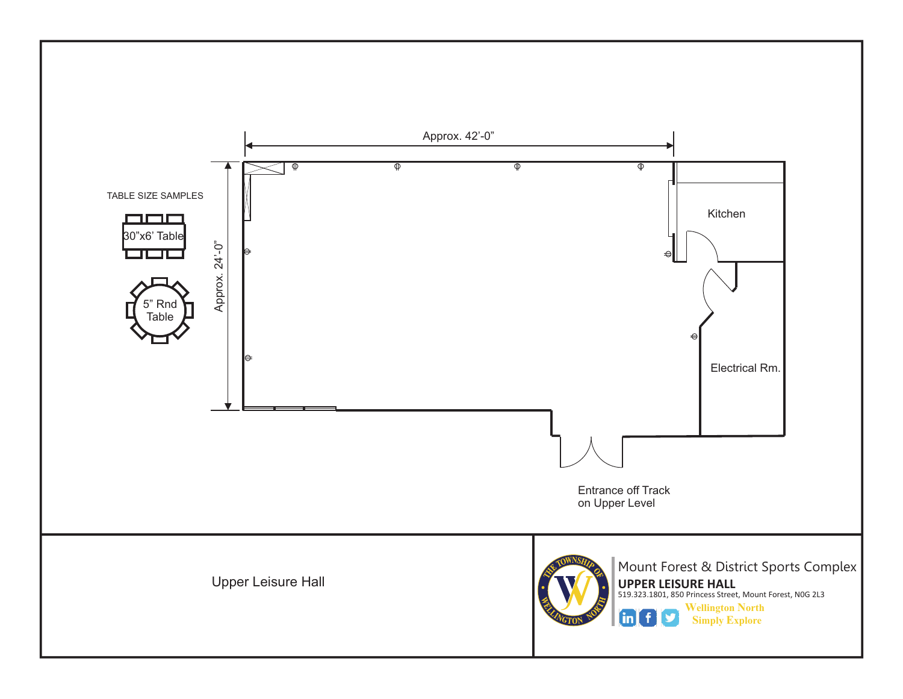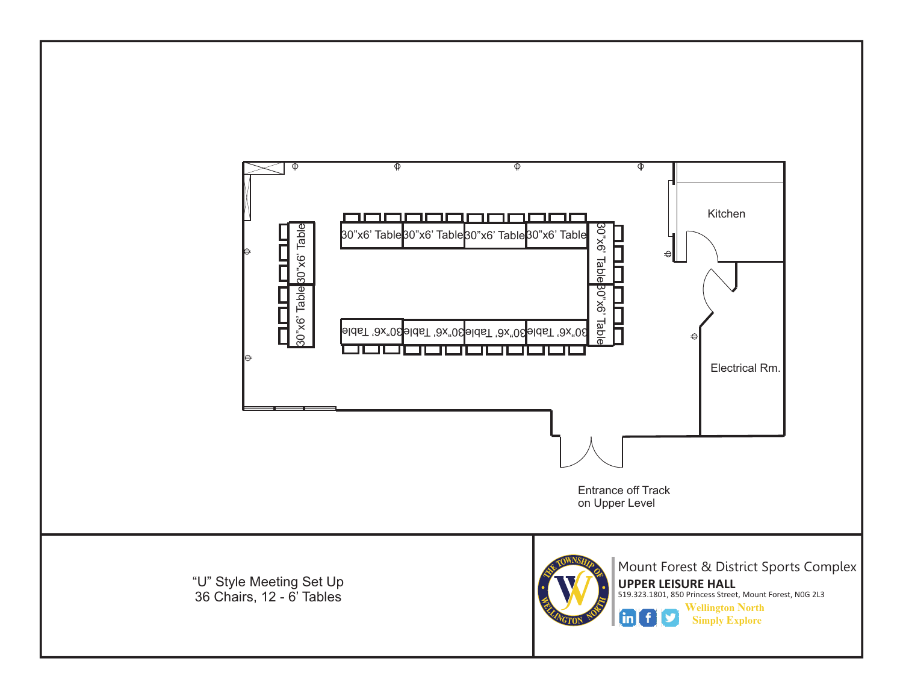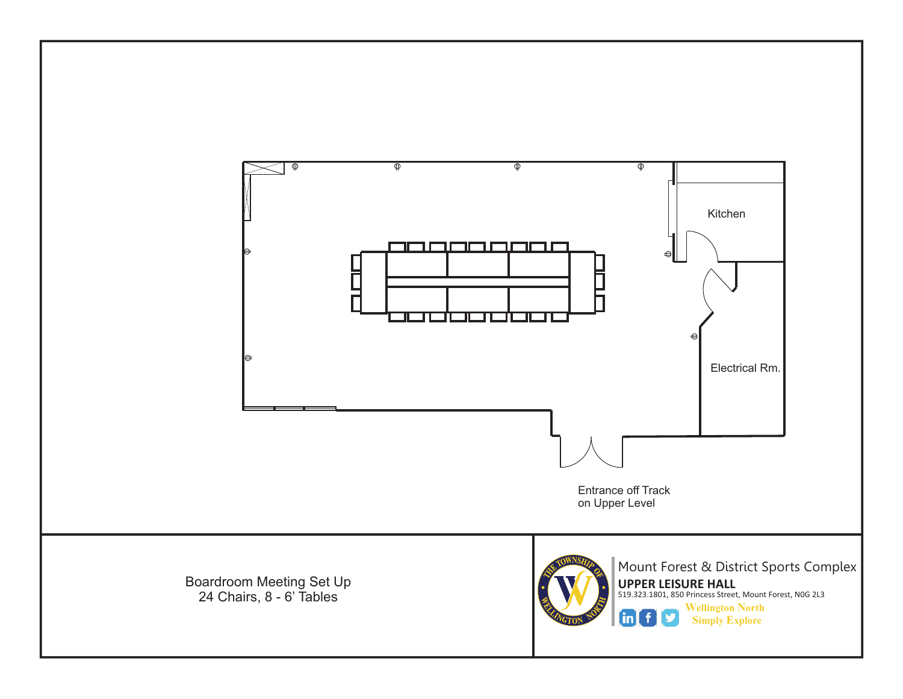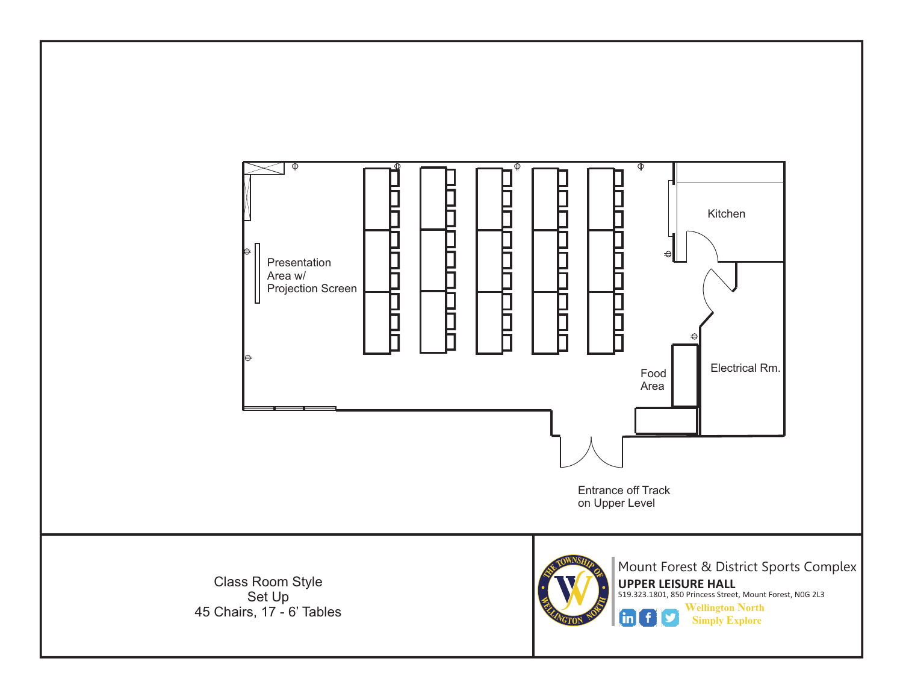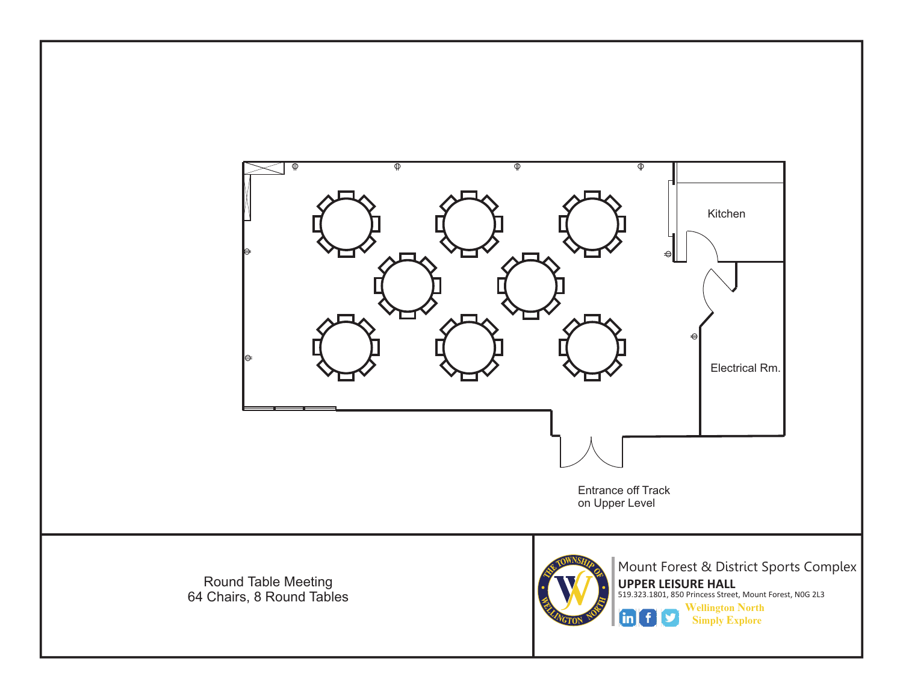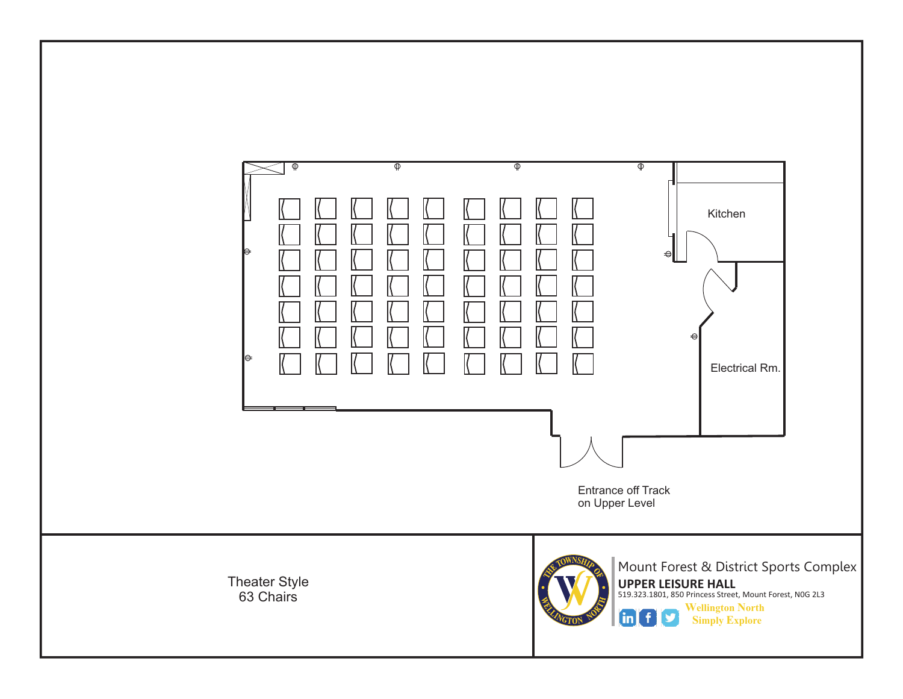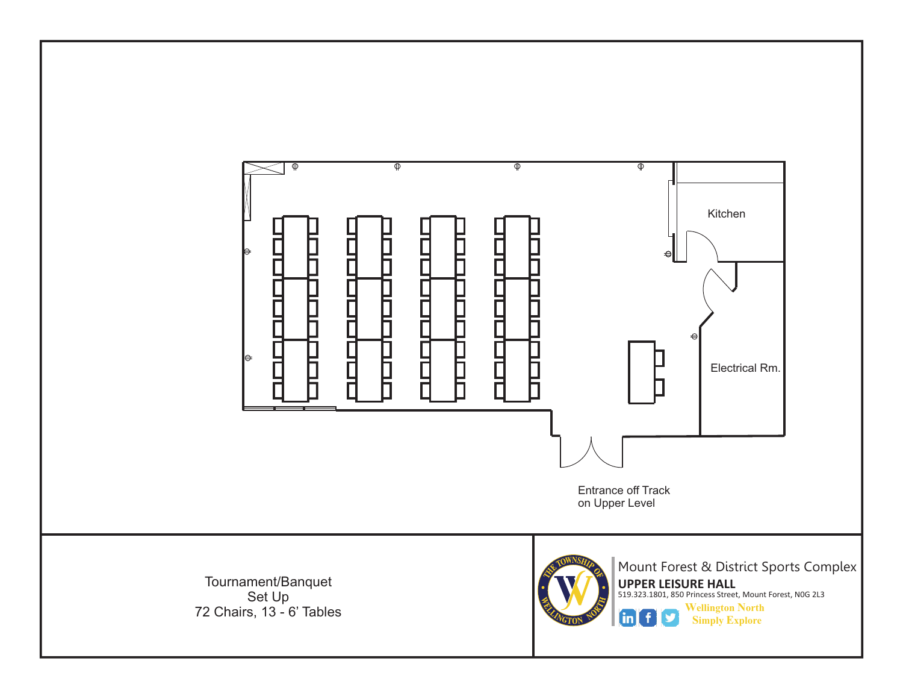